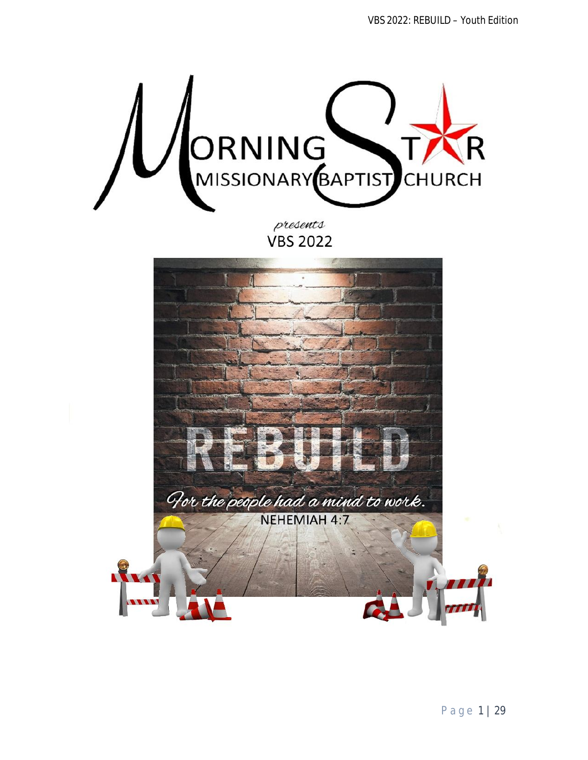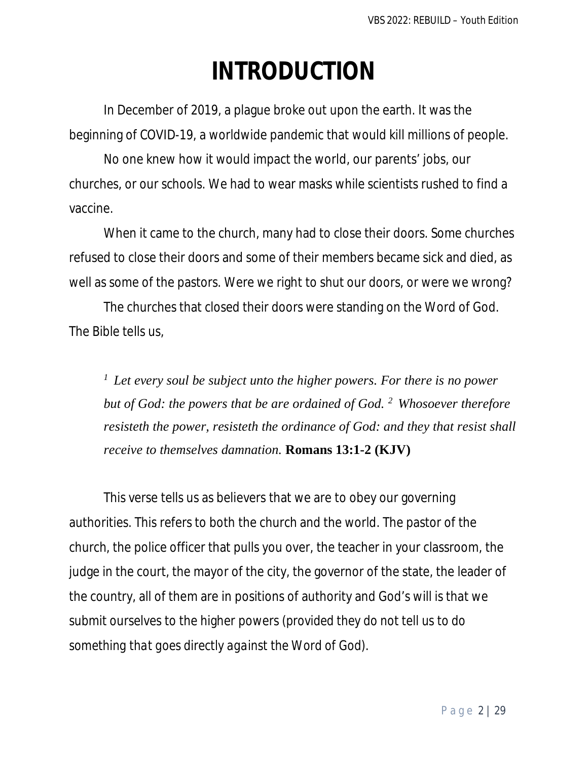# **INTRODUCTION**

In December of 2019, a plague broke out upon the earth. It was the beginning of COVID-19, a worldwide pandemic that would kill millions of people.

No one knew how it would impact the world, our parents' jobs, our churches, or our schools. We had to wear masks while scientists rushed to find a vaccine.

When it came to the church, many had to close their doors. Some churches refused to close their doors and some of their members became sick and died, as well as some of the pastors. Were we right to shut our doors, or were we wrong?

The churches that closed their doors were standing on the Word of God. The Bible tells us,

*<sup>1</sup>Let every soul be subject unto the higher powers. For there is no power but of God: the powers that be are ordained of God. <sup>2</sup>Whosoever therefore resisteth the power, resisteth the ordinance of God: and they that resist shall receive to themselves damnation.* **Romans 13:1-2 (KJV)** 

This verse tells us as believers that we are to obey our governing authorities. This refers to both the church and the world. The pastor of the church, the police officer that pulls you over, the teacher in your classroom, the judge in the court, the mayor of the city, the governor of the state, the leader of the country, all of them are in positions of authority and God's will is that we submit ourselves to the higher powers *(provided they do not tell us to do something that goes directly against the Word of God)*.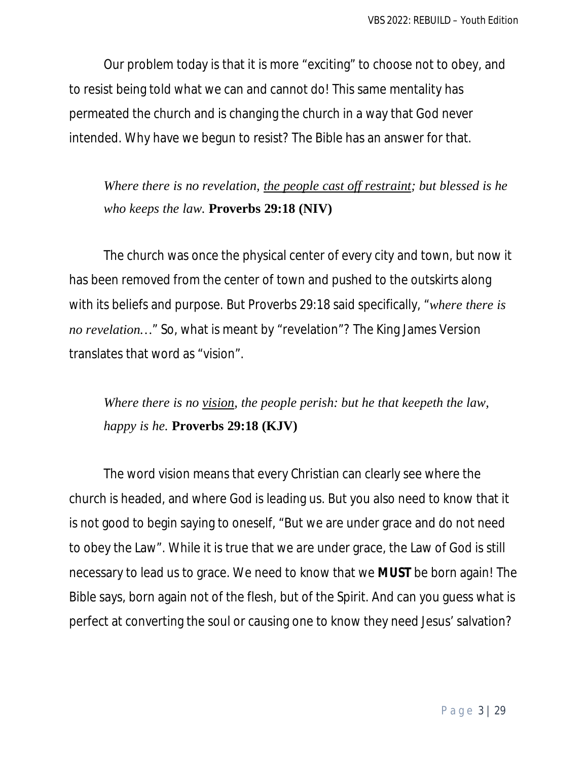Our problem today is that it is more "exciting" to choose not to obey, and to resist being told what we can and cannot do! This same mentality has permeated the church and is changing the church in a way that God never intended. Why have we begun to resist? The Bible has an answer for that.

*Where there is no revelation, the people cast off restraint; but blessed is he who keeps the law.* **Proverbs 29:18 (NIV)** 

The church was once the physical center of every city and town, but now it has been removed from the center of town and pushed to the outskirts along with its beliefs and purpose. But Proverbs 29:18 said specifically, "*where there is no revelation…*" So, what is meant by "revelation"? The King James Version translates that word as "vision".

*Where there is no vision, the people perish: but he that keepeth the law, happy is he.* **Proverbs 29:18 (KJV)** 

The word vision means that every Christian can clearly see where the church is headed, and where God is leading us. But you also need to know that it is not good to begin saying to oneself, "But we are under grace and do not need to obey the Law". While it is true that we are under grace, the Law of God is still necessary to lead us to grace. We need to know that we **MUST** be born again! The Bible says, born again not of the flesh, but of the Spirit. And can you guess what is perfect at converting the soul or causing one to know they need Jesus' salvation?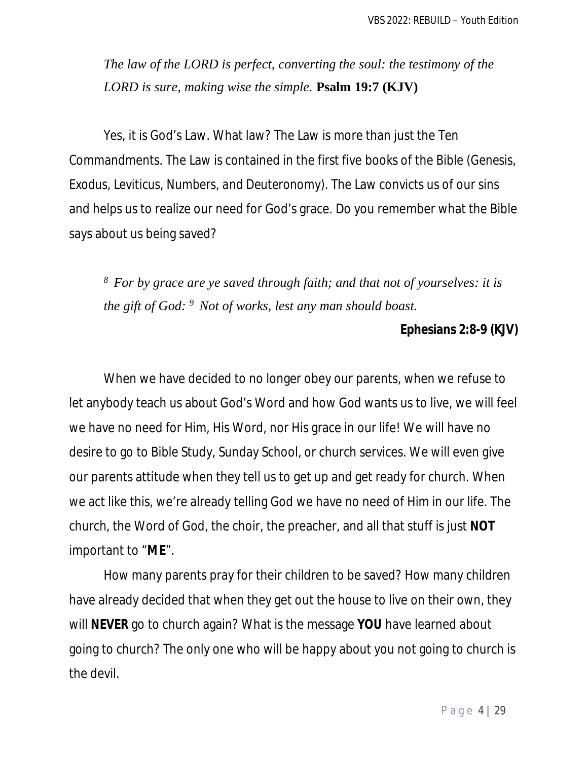*The law of the LORD is perfect, converting the soul: the testimony of the LORD is sure, making wise the simple.* **Psalm 19:7 (KJV)** 

Yes, it is God's Law. What law? The Law is more than just the Ten Commandments. The Law is contained in the first five books of the Bible *(Genesis, Exodus, Leviticus, Numbers, and Deuteronomy)*. The Law convicts us of our sins and helps us to realize our need for God's grace. Do you remember what the Bible says about us being saved?

*<sup>8</sup>For by grace are ye saved through faith; and that not of yourselves: it is the gift of God: <sup>9</sup>Not of works, lest any man should boast.*

#### **Ephesians 2:8-9 (KJV)**

When we have decided to no longer obey our parents, when we refuse to let anybody teach us about God's Word and how God wants us to live, we will feel we have no need for Him, His Word, nor His grace in our life! We will have no desire to go to Bible Study, Sunday School, or church services. We will even give our parents attitude when they tell us to get up and get ready for church. When we act like this, we're already telling God we have no need of Him in our life. The church, the Word of God, the choir, the preacher, and all that stuff is just **NOT** important to "**ME**".

How many parents pray for their children to be saved? How many children have already decided that when they get out the house to live on their own, they will **NEVER** go to church again? What is the message **YOU** have learned about going to church? The only one who will be happy about you not going to church is the devil.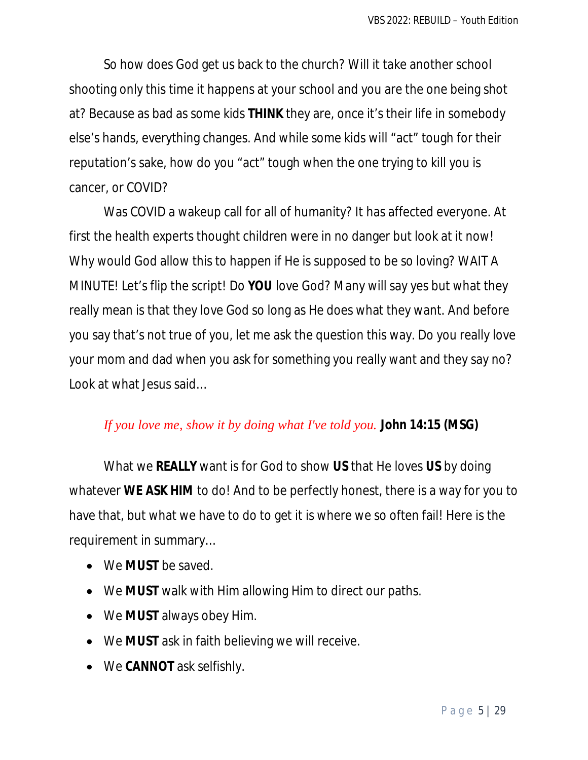So how does God get us back to the church? Will it take another school shooting only this time it happens at your school and you are the one being shot at? Because as bad as some kids **THINK** they are, once it's their life in somebody else's hands, everything changes. And while some kids will "act" tough for their reputation's sake, how do you "act" tough when the one trying to kill you is cancer, or COVID?

Was COVID a wakeup call for all of humanity? It has affected everyone. At first the health experts thought children were in no danger but look at it now! Why would God allow this to happen if He is supposed to be so loving? WAIT A MINUTE! Let's flip the script! Do **YOU** love God? Many will say yes but what they really mean is that they love God so long as He does what they want. And before you say that's not true of you, let me ask the question this way. Do you really love your mom and dad when you ask for something you really want and they say no? Look at what Jesus said…

#### *If you love me, show it by doing what I've told you.* **John 14:15 (MSG)**

What we **REALLY** want is for God to show **US** that He loves **US** by doing whatever **WE ASK HIM** to do! And to be perfectly honest, there is a way for you to have that, but what we have to do to get it is where we so often fail! Here is the requirement in summary…

- We **MUST** be saved.
- We **MUST** walk with Him allowing Him to direct our paths.
- We **MUST** always obey Him.
- We **MUST** ask in faith believing we will receive.
- We **CANNOT** ask selfishly.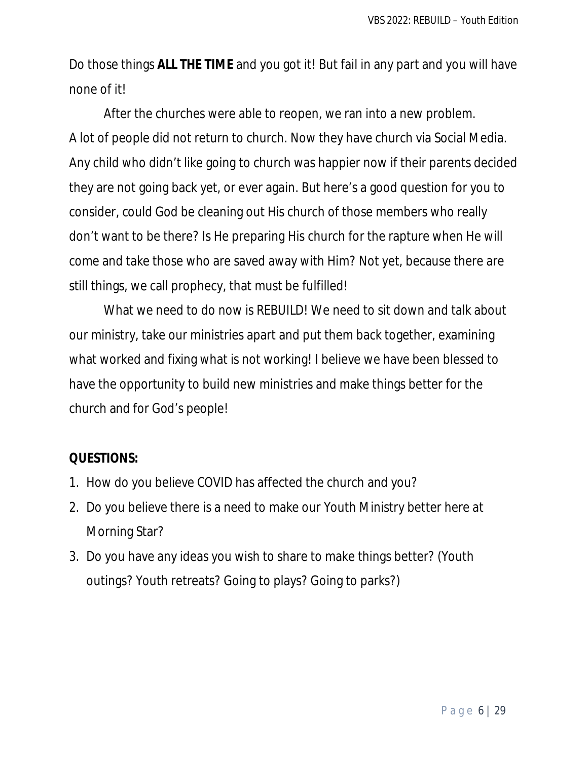Do those things **ALL THE TIME** and you got it! But fail in any part and you will have none of it!

After the churches were able to reopen, we ran into a new problem. A lot of people did not return to church. Now they have church via Social Media. Any child who didn't like going to church was happier now if their parents decided they are not going back yet, or ever again. But here's a good question for you to consider, could God be cleaning out His church of those members who really don't want to be there? Is He preparing His church for the rapture when He will come and take those who are saved away with Him? Not yet, because there are still things, we call prophecy, that must be fulfilled!

What we need to do now is REBUILD! We need to sit down and talk about our ministry, take our ministries apart and put them back together, examining what worked and fixing what is not working! I believe we have been blessed to have the opportunity to build new ministries and make things better for the church and for God's people!

- 1. How do you believe COVID has affected the church and you?
- 2. Do you believe there is a need to make our Youth Ministry better here at Morning Star?
- 3. Do you have any ideas you wish to share to make things better? (Youth outings? Youth retreats? Going to plays? Going to parks?)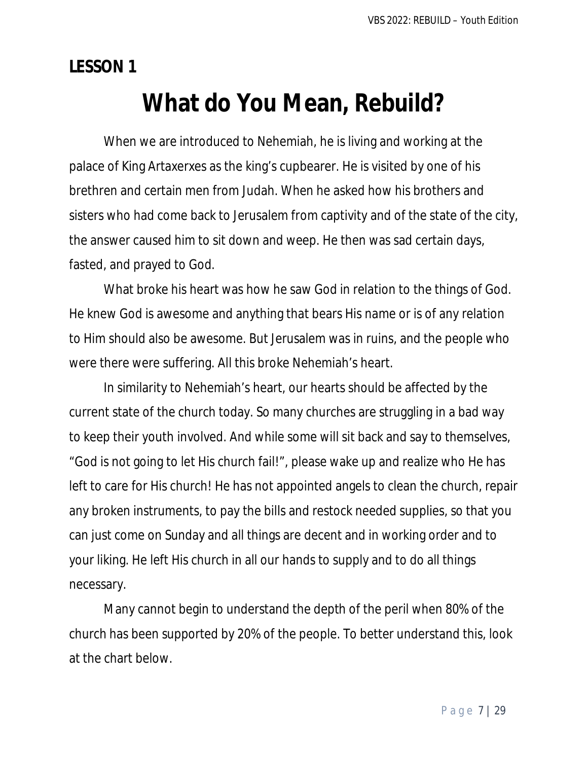**LESSON 1**

## **What do You Mean, Rebuild?**

When we are introduced to Nehemiah, he is living and working at the palace of King Artaxerxes as the king's cupbearer. He is visited by one of his brethren and certain men from Judah. When he asked how his brothers and sisters who had come back to Jerusalem from captivity and of the state of the city, the answer caused him to sit down and weep. He then was sad certain days, fasted, and prayed to God.

What broke his heart was how he saw God in relation to the things of God. He knew God is awesome and anything that bears His name or is of any relation to Him should also be awesome. But Jerusalem was in ruins, and the people who were there were suffering. All this broke Nehemiah's heart.

In similarity to Nehemiah's heart, our hearts should be affected by the current state of the church today. So many churches are struggling in a bad way to keep their youth involved. And while some will sit back and say to themselves, "God is not going to let His church fail!", please wake up and realize who He has left to care for His church! He has not appointed angels to clean the church, repair any broken instruments, to pay the bills and restock needed supplies, so that you can just come on Sunday and all things are decent and in working order and to your liking. He left His church in all our hands to supply and to do all things necessary.

Many cannot begin to understand the depth of the peril when 80% of the church has been supported by 20% of the people. To better understand this, look at the chart below.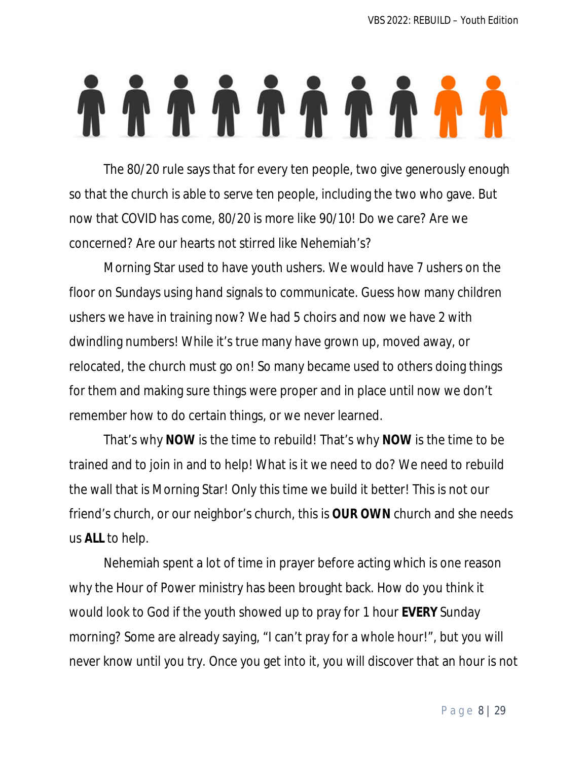# 

The 80/20 rule says that for every ten people, two give generously enough so that the church is able to serve ten people, including the two who gave. But now that COVID has come, 80/20 is more like 90/10! Do we care? Are we concerned? Are our hearts not stirred like Nehemiah's?

Morning Star used to have youth ushers. We would have 7 ushers on the floor on Sundays using hand signals to communicate. Guess how many children ushers we have in training now? We had 5 choirs and now we have 2 with dwindling numbers! While it's true many have grown up, moved away, or relocated, the church must go on! So many became used to others doing things for them and making sure things were proper and in place until now we don't remember how to do certain things, or we never learned.

That's why **NOW** is the time to rebuild! That's why **NOW** is the time to be trained and to join in and to help! What is it we need to do? We need to rebuild the wall that is Morning Star! Only this time we build it better! This is not our friend's church, or our neighbor's church, this is **OUR OWN** church and she needs us **ALL** to help.

Nehemiah spent a lot of time in prayer before acting which is one reason why the Hour of Power ministry has been brought back. How do you think it would look to God if the youth showed up to pray for 1 hour **EVERY** Sunday morning? Some are already saying, "I can't pray for a whole hour!", but you will never know until you try. Once you get into it, you will discover that an hour is not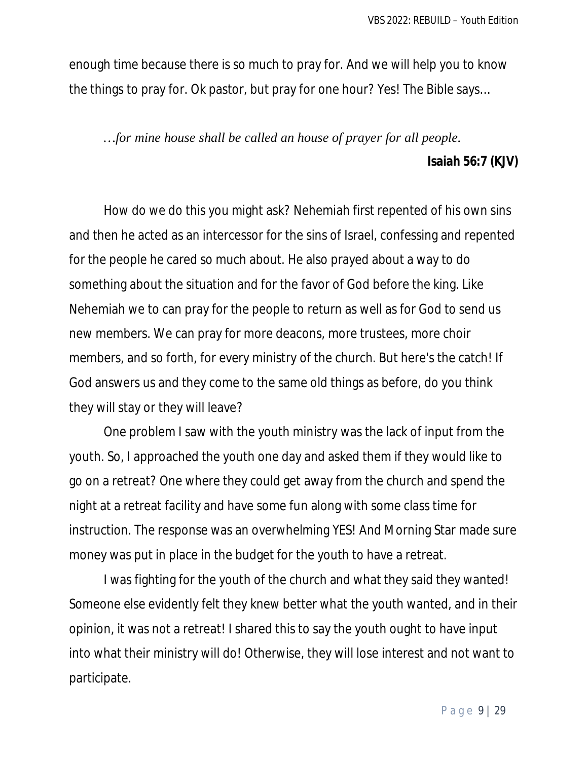enough time because there is so much to pray for. And we will help you to know the things to pray for. Ok pastor, but pray for one hour? Yes! The Bible says…

## *…for mine house shall be called an house of prayer for all people.* **Isaiah 56:7 (KJV)**

How do we do this you might ask? Nehemiah first repented of his own sins and then he acted as an intercessor for the sins of Israel, confessing and repented for the people he cared so much about. He also prayed about a way to do something about the situation and for the favor of God before the king. Like Nehemiah we to can pray for the people to return as well as for God to send us new members. We can pray for more deacons, more trustees, more choir members, and so forth, for every ministry of the church. But here's the catch! If God answers us and they come to the same old things as before, do you think they will stay or they will leave?

One problem I saw with the youth ministry was the lack of input from the youth. So, I approached the youth one day and asked them if they would like to go on a retreat? One where they could get away from the church and spend the night at a retreat facility and have some fun along with some class time for instruction. The response was an overwhelming YES! And Morning Star made sure money was put in place in the budget for the youth to have a retreat.

I was fighting for the youth of the church and what they said they wanted! Someone else evidently felt they knew better what the youth wanted, and in their opinion, it was not a retreat! I shared this to say the youth ought to have input into what their ministry will do! Otherwise, they will lose interest and not want to participate.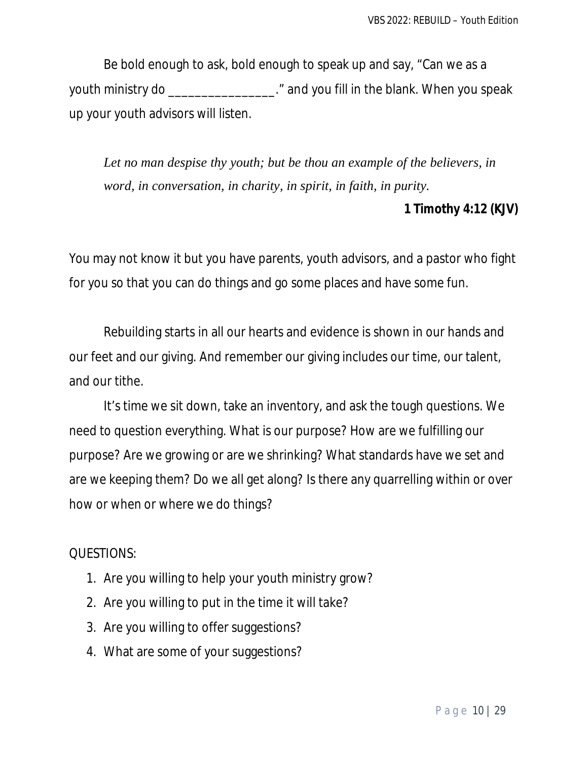Be bold enough to ask, bold enough to speak up and say, "Can we as a youth ministry do \_\_\_\_\_\_\_\_\_\_\_\_\_\_\_\_." and you fill in the blank. When you speak up your youth advisors will listen.

*Let no man despise thy youth; but be thou an example of the believers, in word, in conversation, in charity, in spirit, in faith, in purity.*

#### **1 Timothy 4:12 (KJV)**

You may not know it but you have parents, youth advisors, and a pastor who fight for you so that you can do things and go some places and have some fun.

Rebuilding starts in all our hearts and evidence is shown in our hands and our feet and our giving. And remember our giving includes our time, our talent, and our tithe.

It's time we sit down, take an inventory, and ask the tough questions. We need to question everything. What is our purpose? How are we fulfilling our purpose? Are we growing or are we shrinking? What standards have we set and are we keeping them? Do we all get along? Is there any quarrelling within or over how or when or where we do things?

- 1. Are you willing to help your youth ministry grow?
- 2. Are you willing to put in the time it will take?
- 3. Are you willing to offer suggestions?
- 4. What are some of your suggestions?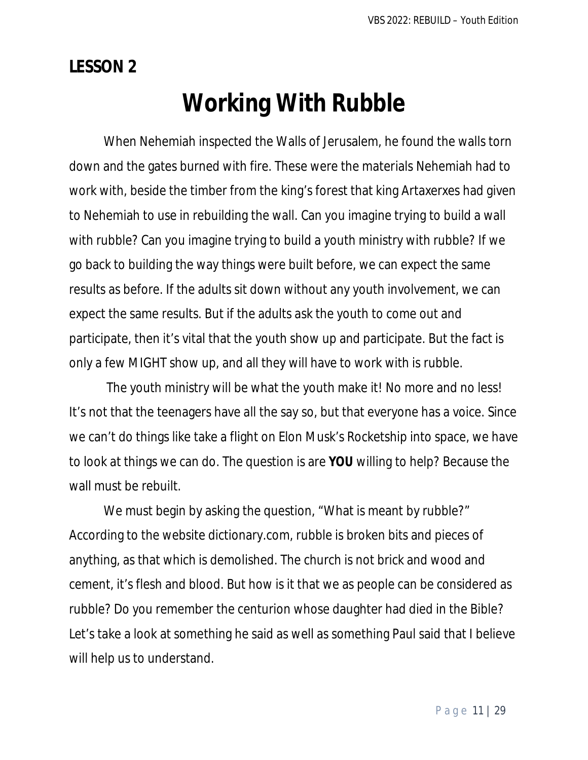**LESSON 2**

# **Working With Rubble**

When Nehemiah inspected the Walls of Jerusalem, he found the walls torn down and the gates burned with fire. These were the materials Nehemiah had to work with, beside the timber from the king's forest that king Artaxerxes had given to Nehemiah to use in rebuilding the wall. Can you imagine trying to build a wall with rubble? Can you imagine trying to build a youth ministry with rubble? If we go back to building the way things were built before, we can expect the same results as before. If the adults sit down without any youth involvement, we can expect the same results. But if the adults ask the youth to come out and participate, then it's vital that the youth show up and participate. But the fact is only a few MIGHT show up, and all they will have to work with is rubble.

The youth ministry will be what the youth make it! No more and no less! It's not that the teenagers have all the say so, but that everyone has a voice. Since we can't do things like take a flight on Elon Musk's Rocketship into space, we have to look at things we can do. The question is are **YOU** willing to help? Because the wall must be rebuilt.

We must begin by asking the question, "What is meant by rubble?" According to the website dictionary.com, rubble is broken bits and pieces of anything, as that which is demolished. The church is not brick and wood and cement, it's flesh and blood. But how is it that we as people can be considered as rubble? Do you remember the centurion whose daughter had died in the Bible? Let's take a look at something he said as well as something Paul said that I believe will help us to understand.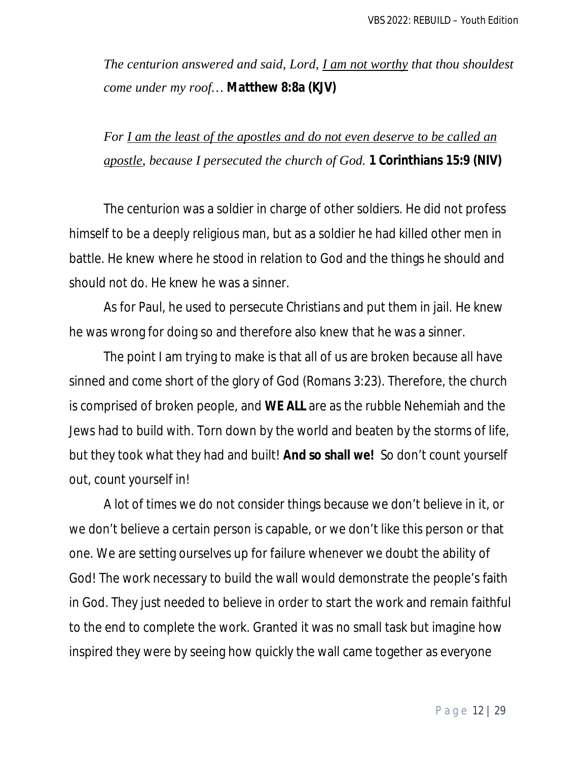*The centurion answered and said, Lord, I am not worthy that thou shouldest come under my roof…* **Matthew 8:8a (KJV)**

*For I am the least of the apostles and do not even deserve to be called an apostle, because I persecuted the church of God.* **1 Corinthians 15:9 (NIV)**

The centurion was a soldier in charge of other soldiers. He did not profess himself to be a deeply religious man, but as a soldier he had killed other men in battle. He knew where he stood in relation to God and the things he should and should not do. He knew he was a sinner.

As for Paul, he used to persecute Christians and put them in jail. He knew he was wrong for doing so and therefore also knew that he was a sinner.

The point I am trying to make is that all of us are broken because all have sinned and come short of the glory of God (Romans 3:23). Therefore, the church is comprised of broken people, and **WE ALL** are as the rubble Nehemiah and the Jews had to build with. Torn down by the world and beaten by the storms of life, but they took what they had and built! **And so shall we!** So don't count yourself out, count yourself in!

A lot of times we do not consider things because we don't believe in it, or we don't believe a certain person is capable, or we don't like this person or that one. We are setting ourselves up for failure whenever we doubt the ability of God! The work necessary to build the wall would demonstrate the people's faith in God. They just needed to believe in order to start the work and remain faithful to the end to complete the work. Granted it was no small task but imagine how inspired they were by seeing how quickly the wall came together as everyone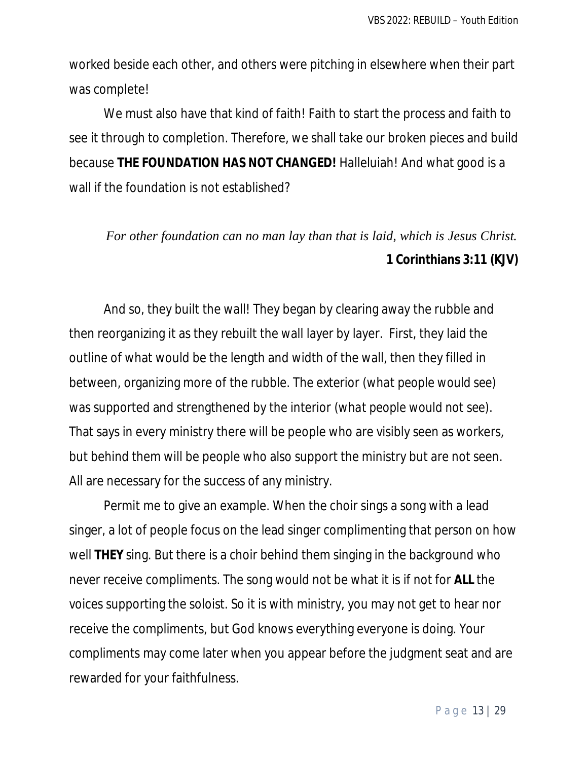worked beside each other, and others were pitching in elsewhere when their part was complete!

We must also have that kind of faith! Faith to start the process and faith to see it through to completion. Therefore, we shall take our broken pieces and build because **THE FOUNDATION HAS NOT CHANGED!** Halleluiah! And what good is a wall if the foundation is not established?

## *For other foundation can no man lay than that is laid, which is Jesus Christ.*  **1 Corinthians 3:11 (KJV)**

And so, they built the wall! They began by clearing away the rubble and then reorganizing it as they rebuilt the wall layer by layer. First, they laid the outline of what would be the length and width of the wall, then they filled in between, organizing more of the rubble. The exterior *(what people would see)* was supported and strengthened by the interior *(what people would not see)*. That says in every ministry there will be people who are visibly seen as workers, but behind them will be people who also support the ministry but are not seen. All are necessary for the success of any ministry.

Permit me to give an example. When the choir sings a song with a lead singer, a lot of people focus on the lead singer complimenting that person on how well **THEY** sing. But there is a choir behind them singing in the background who never receive compliments. The song would not be what it is if not for **ALL** the voices supporting the soloist. So it is with ministry, you may not get to hear nor receive the compliments, but God knows everything everyone is doing. Your compliments may come later when you appear before the judgment seat and are rewarded for your faithfulness.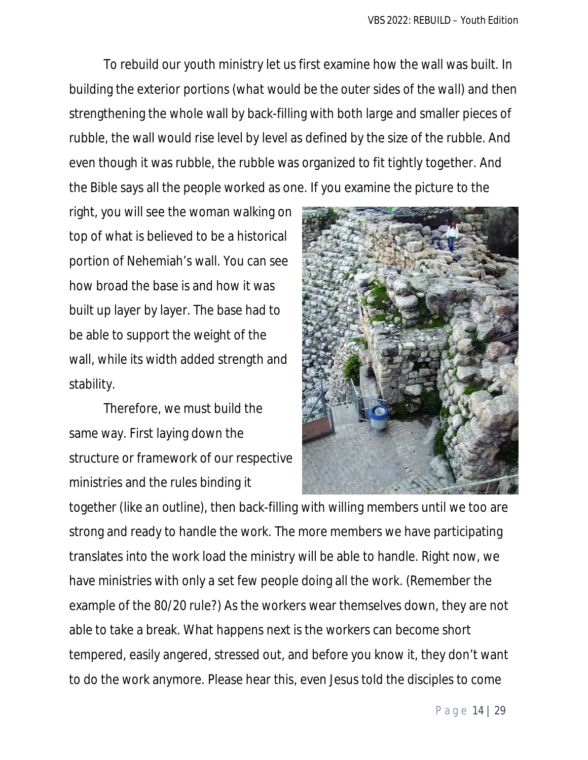To rebuild our youth ministry let us first examine how the wall was built. In building the exterior portions *(what would be the outer sides of the wall)* and then strengthening the whole wall by back-filling with both large and smaller pieces of rubble, the wall would rise level by level as defined by the size of the rubble. And even though it was rubble, the rubble was organized to fit tightly together. And the Bible says all the people worked as one. If you examine the picture to the

right, you will see the woman walking on top of what is believed to be a historical portion of Nehemiah's wall. You can see how broad the base is and how it was built up layer by layer. The base had to be able to support the weight of the wall, while its width added strength and stability.

Therefore, we must build the same way. First laying down the structure or framework of our respective ministries and the rules binding it



together *(like an outline)*, then back-filling with willing members until we too are strong and ready to handle the work. The more members we have participating translates into the work load the ministry will be able to handle. Right now, we have ministries with only a set few people doing all the work. (Remember the example of the 80/20 rule?) As the workers wear themselves down, they are not able to take a break. What happens next is the workers can become short tempered, easily angered, stressed out, and before you know it, they don't want to do the work anymore. Please hear this, even Jesus told the disciples to come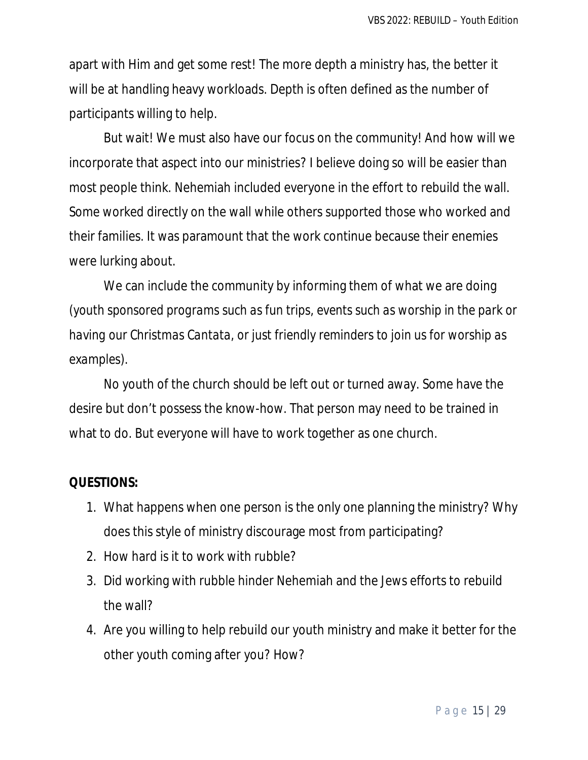apart with Him and get some rest! The more depth a ministry has, the better it will be at handling heavy workloads. Depth is often defined as the number of participants willing to help.

But wait! We must also have our focus on the community! And how will we incorporate that aspect into our ministries? I believe doing so will be easier than most people think. Nehemiah included everyone in the effort to rebuild the wall. Some worked directly on the wall while others supported those who worked and their families. It was paramount that the work continue because their enemies were lurking about.

We can include the community by informing them of what we are doing *(youth sponsored programs such as fun trips, events such as worship in the park or having our Christmas Cantata, or just friendly reminders to join us for worship as examples)*.

No youth of the church should be left out or turned away. Some have the desire but don't possess the know-how. That person may need to be trained in what to do. But everyone will have to work together as one church.

- 1. What happens when one person is the only one planning the ministry? Why does this style of ministry discourage most from participating?
- 2. How hard is it to work with rubble?
- 3. Did working with rubble hinder Nehemiah and the Jews efforts to rebuild the wall?
- 4. Are you willing to help rebuild our youth ministry and make it better for the other youth coming after you? How?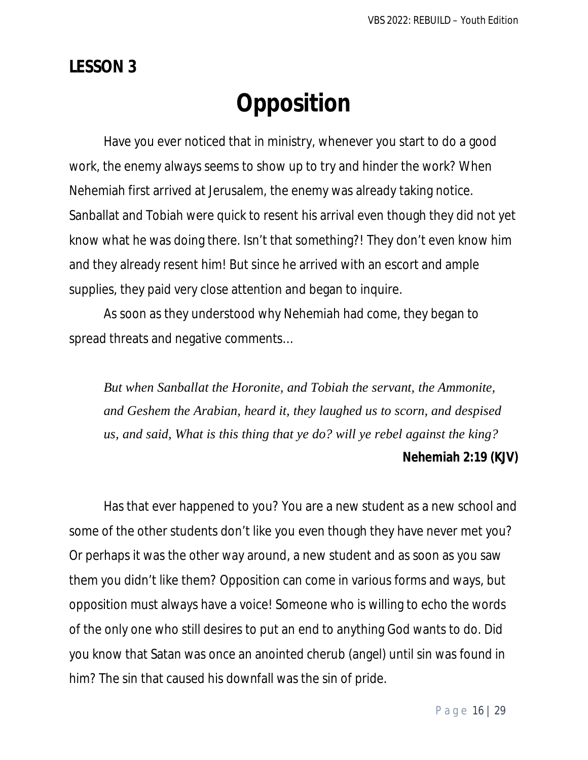## **LESSON 3**

# **Opposition**

Have you ever noticed that in ministry, whenever you start to do a good work, the enemy always seems to show up to try and hinder the work? When Nehemiah first arrived at Jerusalem, the enemy was already taking notice. Sanballat and Tobiah were quick to resent his arrival even though they did not yet know what he was doing there. Isn't that something?! They don't even know him and they already resent him! But since he arrived with an escort and ample supplies, they paid very close attention and began to inquire.

As soon as they understood why Nehemiah had come, they began to spread threats and negative comments…

*But when Sanballat the Horonite, and Tobiah the servant, the Ammonite, and Geshem the Arabian, heard it, they laughed us to scorn, and despised us, and said, What is this thing that ye do? will ye rebel against the king?*

#### **Nehemiah 2:19 (KJV)**

Has that ever happened to you? You are a new student as a new school and some of the other students don't like you even though they have never met you? Or perhaps it was the other way around, a new student and as soon as you saw them you didn't like them? Opposition can come in various forms and ways, but opposition must always have a voice! Someone who is willing to echo the words of the only one who still desires to put an end to anything God wants to do. Did you know that Satan was once an anointed cherub (angel) until sin was found in him? The sin that caused his downfall was the sin of pride.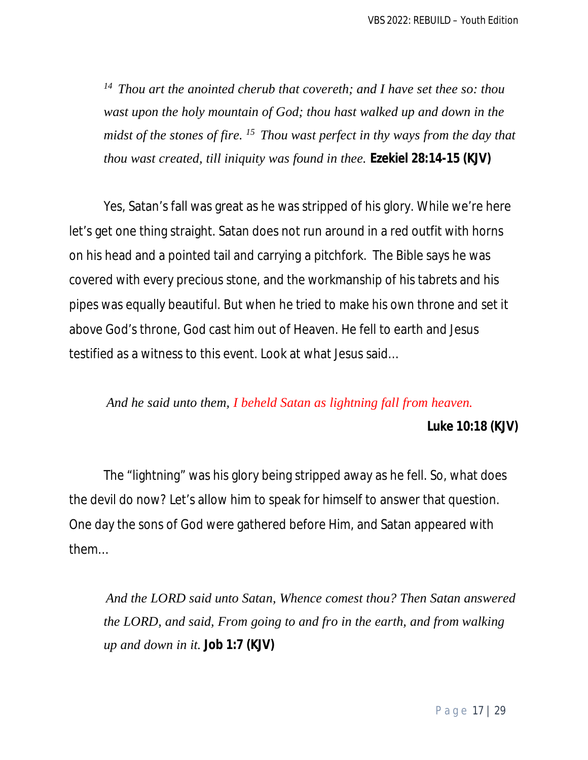*<sup>14</sup>Thou art the anointed cherub that covereth; and I have set thee so: thou wast upon the holy mountain of God; thou hast walked up and down in the midst of the stones of fire. <sup>15</sup>Thou wast perfect in thy ways from the day that thou wast created, till iniquity was found in thee.* **Ezekiel 28:14-15 (KJV)**

Yes, Satan's fall was great as he was stripped of his glory. While we're here let's get one thing straight. Satan does not run around in a red outfit with horns on his head and a pointed tail and carrying a pitchfork. The Bible says he was covered with every precious stone, and the workmanship of his tabrets and his pipes was equally beautiful. But when he tried to make his own throne and set it above God's throne, God cast him out of Heaven. He fell to earth and Jesus testified as a witness to this event. Look at what Jesus said…

#### *And he said unto them, I beheld Satan as lightning fall from heaven.*

**Luke 10:18 (KJV)**

The "lightning" was his glory being stripped away as he fell. So, what does the devil do now? Let's allow him to speak for himself to answer that question. One day the sons of God were gathered before Him, and Satan appeared with them…

*And the LORD said unto Satan, Whence comest thou? Then Satan answered the LORD, and said, From going to and fro in the earth, and from walking up and down in it.* **Job 1:7 (KJV)**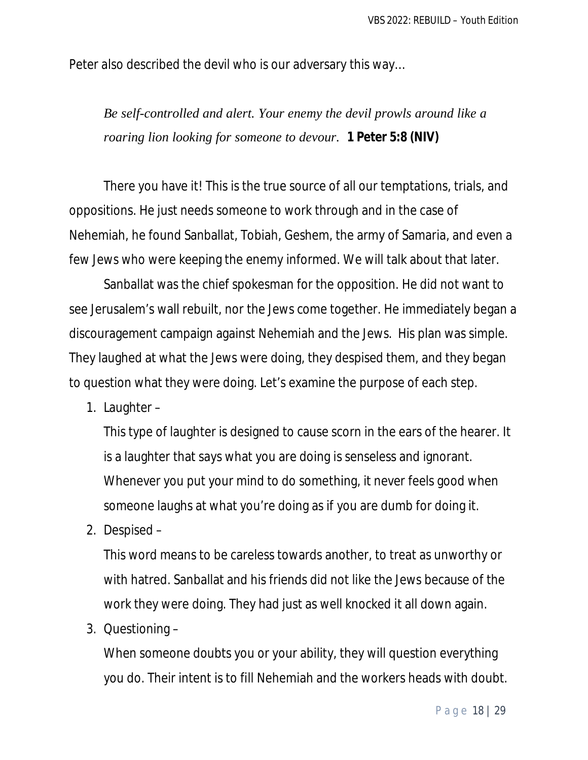Peter also described the devil who is our adversary this way…

*Be self-controlled and alert. Your enemy the devil prowls around like a roaring lion looking for someone to devour.* **1 Peter 5:8 (NIV)**

There you have it! This is the true source of all our temptations, trials, and oppositions. He just needs someone to work through and in the case of Nehemiah, he found Sanballat, Tobiah, Geshem, the army of Samaria, and even a few Jews who were keeping the enemy informed. We will talk about that later.

Sanballat was the chief spokesman for the opposition. He did not want to see Jerusalem's wall rebuilt, nor the Jews come together. He immediately began a discouragement campaign against Nehemiah and the Jews. His plan was simple. They laughed at what the Jews were doing, they despised them, and they began to question what they were doing. Let's examine the purpose of each step.

1. Laughter –

This type of laughter is designed to cause scorn in the ears of the hearer. It is a laughter that says what you are doing is senseless and ignorant. Whenever you put your mind to do something, it never feels good when someone laughs at what you're doing as if you are dumb for doing it.

2. Despised –

This word means to be careless towards another, to treat as unworthy or with hatred. Sanballat and his friends did not like the Jews because of the work they were doing. They had just as well knocked it all down again.

3. Questioning –

When someone doubts you or your ability, they will question everything you do. Their intent is to fill Nehemiah and the workers heads with doubt.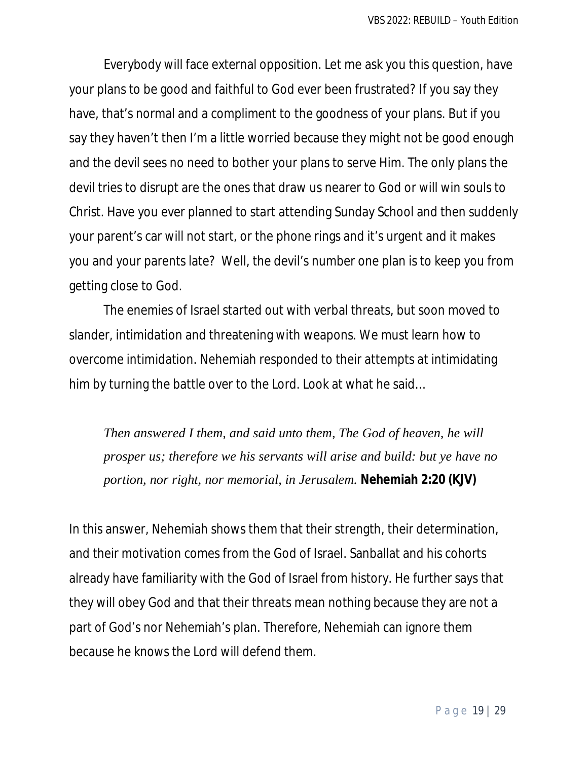Everybody will face external opposition. Let me ask you this question, have your plans to be good and faithful to God ever been frustrated? If you say they have, that's normal and a compliment to the goodness of your plans. But if you say they haven't then I'm a little worried because they might not be good enough and the devil sees no need to bother your plans to serve Him. The only plans the devil tries to disrupt are the ones that draw us nearer to God or will win souls to Christ. Have you ever planned to start attending Sunday School and then suddenly your parent's car will not start, or the phone rings and it's urgent and it makes you and your parents late? Well, the devil's number one plan is to keep you from getting close to God.

The enemies of Israel started out with verbal threats, but soon moved to slander, intimidation and threatening with weapons. We must learn how to overcome intimidation. Nehemiah responded to their attempts at intimidating him by turning the battle over to the Lord. Look at what he said…

*Then answered I them, and said unto them, The God of heaven, he will prosper us; therefore we his servants will arise and build: but ye have no portion, nor right, nor memorial, in Jerusalem.* **Nehemiah 2:20 (KJV)**

In this answer, Nehemiah shows them that their strength, their determination, and their motivation comes from the God of Israel. Sanballat and his cohorts already have familiarity with the God of Israel from history. He further says that they will obey God and that their threats mean nothing because they are not a part of God's nor Nehemiah's plan. Therefore, Nehemiah can ignore them because he knows the Lord will defend them.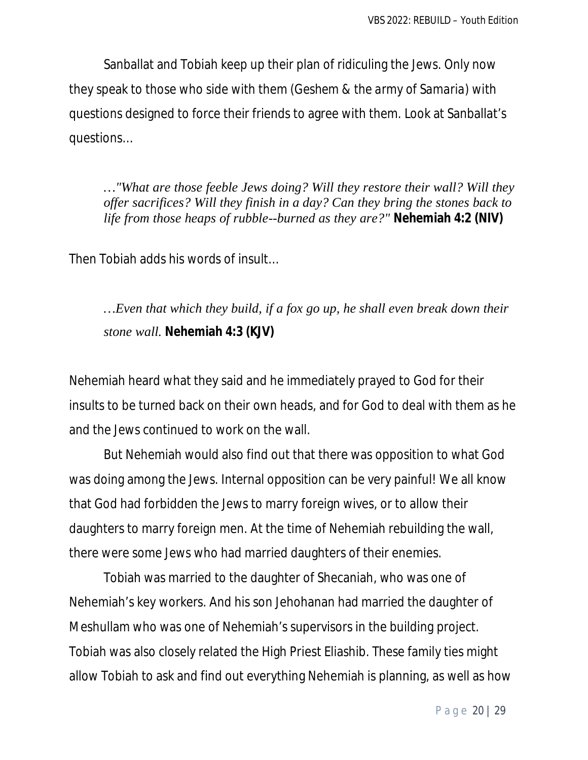Sanballat and Tobiah keep up their plan of ridiculing the Jews. Only now they speak to those who side with them *(Geshem & the army of Samaria)* with questions designed to force their friends to agree with them. Look at Sanballat's questions…

*…"What are those feeble Jews doing? Will they restore their wall? Will they offer sacrifices? Will they finish in a day? Can they bring the stones back to life from those heaps of rubble--burned as they are?"* **Nehemiah 4:2 (NIV)**

Then Tobiah adds his words of insult…

*…Even that which they build, if a fox go up, he shall even break down their stone wall.* **Nehemiah 4:3 (KJV)**

Nehemiah heard what they said and he immediately prayed to God for their insults to be turned back on their own heads, and for God to deal with them as he and the Jews continued to work on the wall.

But Nehemiah would also find out that there was opposition to what God was doing among the Jews. Internal opposition can be very painful! We all know that God had forbidden the Jews to marry foreign wives, or to allow their daughters to marry foreign men. At the time of Nehemiah rebuilding the wall, there were some Jews who had married daughters of their enemies.

Tobiah was married to the daughter of Shecaniah, who was one of Nehemiah's key workers. And his son Jehohanan had married the daughter of Meshullam who was one of Nehemiah's supervisors in the building project. Tobiah was also closely related the High Priest Eliashib. These family ties might allow Tobiah to ask and find out everything Nehemiah is planning, as well as how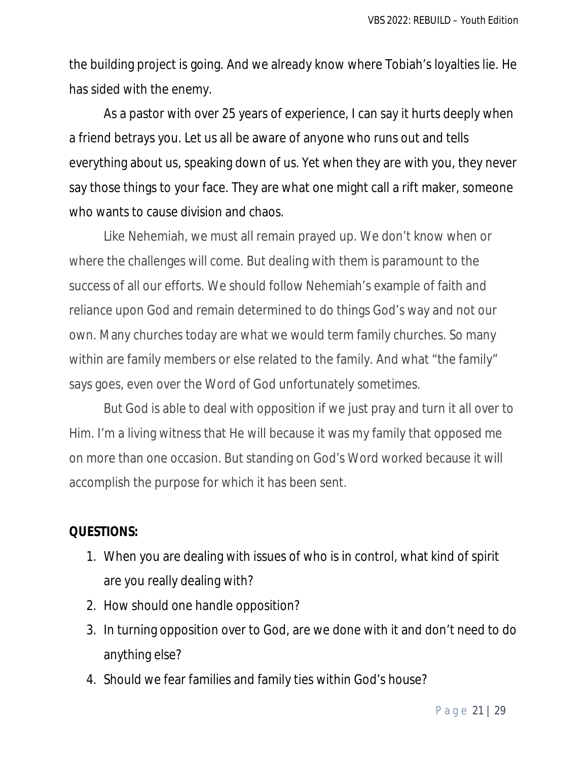the building project is going. And we already know where Tobiah's loyalties lie. He has sided with the enemy.

As a pastor with over 25 years of experience, I can say it hurts deeply when a friend betrays you. Let us all be aware of anyone who runs out and tells everything about us, speaking down of us. Yet when they are with you, they never say those things to your face. They are what one might call a rift maker, someone who wants to cause division and chaos.

Like Nehemiah, we must all remain prayed up. We don't know when or where the challenges will come. But dealing with them is paramount to the success of all our efforts. We should follow Nehemiah's example of faith and reliance upon God and remain determined to do things God's way and not our own. Many churches today are what we would term family churches. So many within are family members or else related to the family. And what "the family" says goes, even over the Word of God unfortunately sometimes.

But God is able to deal with opposition if we just pray and turn it all over to Him. I'm a living witness that He will because it was my family that opposed me on more than one occasion. But standing on God's Word worked because it will accomplish the purpose for which it has been sent.

- 1. When you are dealing with issues of who is in control, what kind of spirit are you really dealing with?
- 2. How should one handle opposition?
- 3. In turning opposition over to God, are we done with it and don't need to do anything else?
- 4. Should we fear families and family ties within God's house?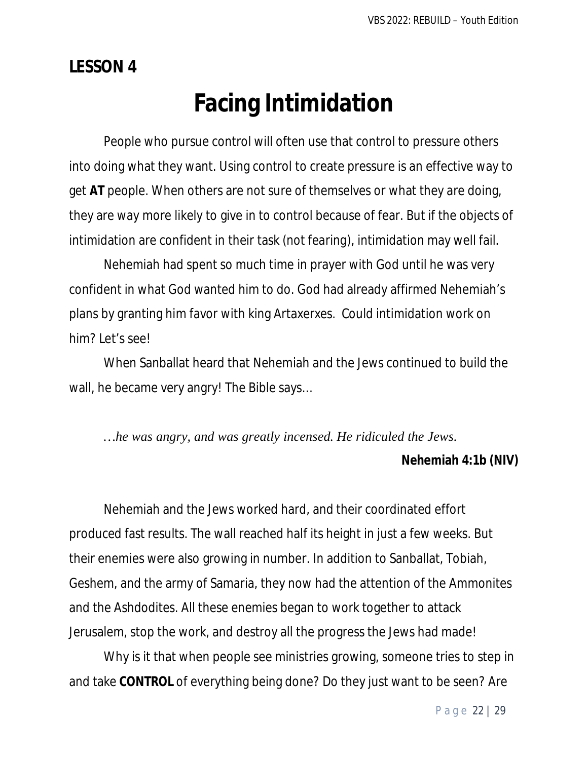**LESSON 4**

# **Facing Intimidation**

People who pursue control will often use that control to pressure others into doing what they want. Using control to create pressure is an effective way to get **AT** people. When others are not sure of themselves or what they are doing, they are way more likely to give in to control because of fear. But if the objects of intimidation are confident in their task *(not fearing)*, intimidation may well fail.

Nehemiah had spent so much time in prayer with God until he was very confident in what God wanted him to do. God had already affirmed Nehemiah's plans by granting him favor with king Artaxerxes. Could intimidation work on him? Let's see!

When Sanballat heard that Nehemiah and the Jews continued to build the wall, he became very angry! The Bible says…

*…he was angry, and was greatly incensed. He ridiculed the Jews.*

#### **Nehemiah 4:1b (NIV)**

Nehemiah and the Jews worked hard, and their coordinated effort produced fast results. The wall reached half its height in just a few weeks. But their enemies were also growing in number. In addition to Sanballat, Tobiah, Geshem, and the army of Samaria, they now had the attention of the Ammonites and the Ashdodites. All these enemies began to work together to attack Jerusalem, stop the work, and destroy all the progress the Jews had made!

Why is it that when people see ministries growing, someone tries to step in and take **CONTROL** of everything being done? Do they just want to be seen? Are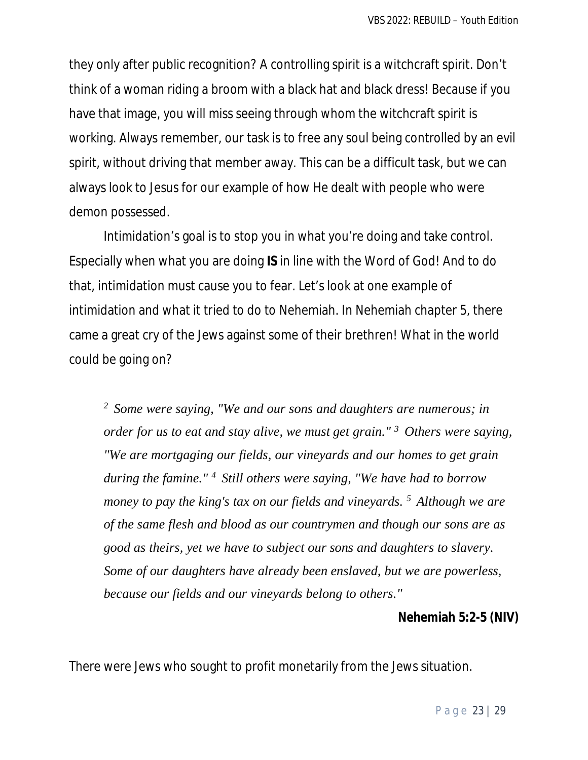they only after public recognition? A controlling spirit is a witchcraft spirit. Don't think of a woman riding a broom with a black hat and black dress! Because if you have that image, you will miss seeing through whom the witchcraft spirit is working. Always remember, our task is to free any soul being controlled by an evil spirit, without driving that member away. This can be a difficult task, but we can always look to Jesus for our example of how He dealt with people who were demon possessed.

Intimidation's goal is to stop you in what you're doing and take control. Especially when what you are doing **IS** in line with the Word of God! And to do that, intimidation must cause you to fear. Let's look at one example of intimidation and what it tried to do to Nehemiah. In Nehemiah chapter 5, there came a great cry of the Jews against some of their brethren! What in the world could be going on?

*<sup>2</sup> Some were saying, "We and our sons and daughters are numerous; in order for us to eat and stay alive, we must get grain." <sup>3</sup>Others were saying, "We are mortgaging our fields, our vineyards and our homes to get grain during the famine." <sup>4</sup>Still others were saying, "We have had to borrow money to pay the king's tax on our fields and vineyards. <sup>5</sup>Although we are of the same flesh and blood as our countrymen and though our sons are as good as theirs, yet we have to subject our sons and daughters to slavery. Some of our daughters have already been enslaved, but we are powerless, because our fields and our vineyards belong to others."*

#### **Nehemiah 5:2-5 (NIV)**

There were Jews who sought to profit monetarily from the Jews situation.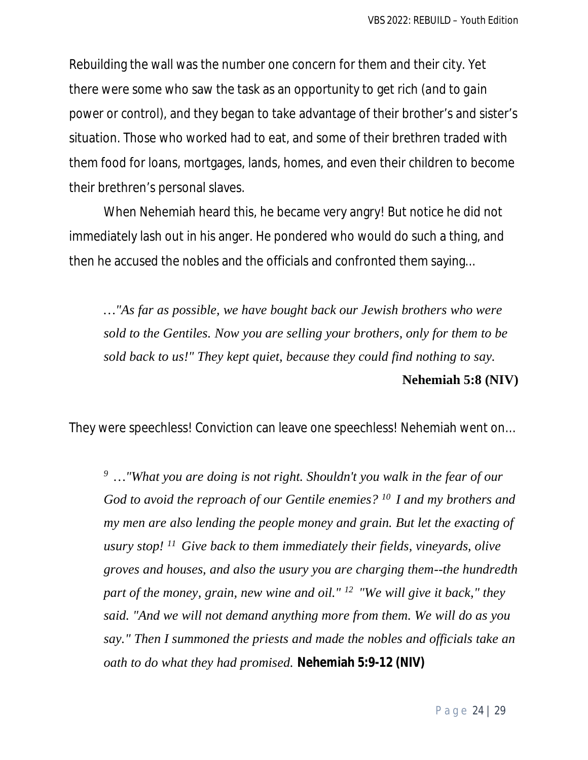Rebuilding the wall was the number one concern for them and their city. Yet there were some who saw the task as an opportunity to get rich *(and to gain power or control)*, and they began to take advantage of their brother's and sister's situation. Those who worked had to eat, and some of their brethren traded with them food for loans, mortgages, lands, homes, and even their children to become their brethren's personal slaves.

When Nehemiah heard this, he became very angry! But notice he did not immediately lash out in his anger. He pondered who would do such a thing, and then he accused the nobles and the officials and confronted them saying...

*…"As far as possible, we have bought back our Jewish brothers who were sold to the Gentiles. Now you are selling your brothers, only for them to be sold back to us!" They kept quiet, because they could find nothing to say.*  **Nehemiah 5:8 (NIV)** 

They were speechless! Conviction can leave one speechless! Nehemiah went on…

*<sup>9</sup>…"What you are doing is not right. Shouldn't you walk in the fear of our God to avoid the reproach of our Gentile enemies? <sup>10</sup>I and my brothers and my men are also lending the people money and grain. But let the exacting of usury stop! <sup>11</sup>Give back to them immediately their fields, vineyards, olive groves and houses, and also the usury you are charging them--the hundredth part of the money, grain, new wine and oil." <sup>12</sup>"We will give it back," they said. "And we will not demand anything more from them. We will do as you say." Then I summoned the priests and made the nobles and officials take an oath to do what they had promised.* **Nehemiah 5:9-12 (NIV)**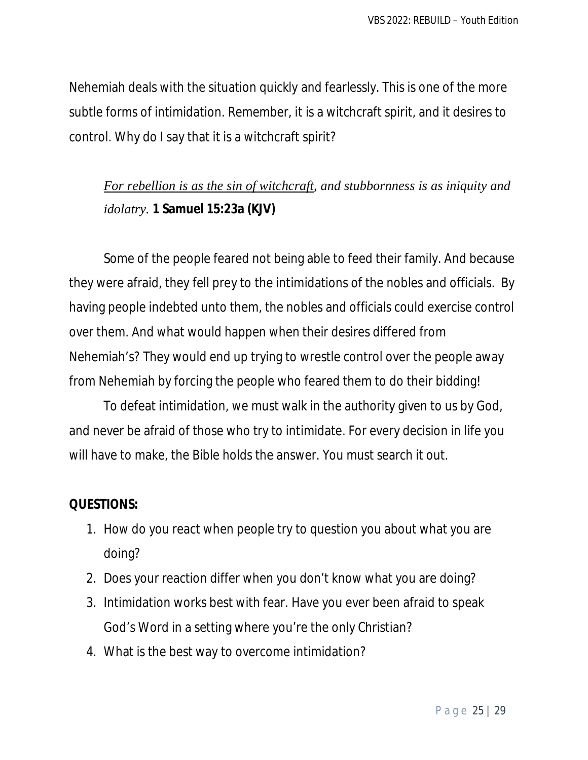Nehemiah deals with the situation quickly and fearlessly. This is one of the more subtle forms of intimidation. Remember, it is a witchcraft spirit, and it desires to control. Why do I say that it is a witchcraft spirit?

## *For rebellion is as the sin of witchcraft, and stubbornness is as iniquity and idolatry.* **1 Samuel 15:23a (KJV)**

Some of the people feared not being able to feed their family. And because they were afraid, they fell prey to the intimidations of the nobles and officials. By having people indebted unto them, the nobles and officials could exercise control over them. And what would happen when their desires differed from Nehemiah's? They would end up trying to wrestle control over the people away from Nehemiah by forcing the people who feared them to do their bidding!

To defeat intimidation, we must walk in the authority given to us by God, and never be afraid of those who try to intimidate. For every decision in life you will have to make, the Bible holds the answer. You must search it out.

- 1. How do you react when people try to question you about what you are doing?
- 2. Does your reaction differ when you don't know what you are doing?
- 3. Intimidation works best with fear. Have you ever been afraid to speak God's Word in a setting where you're the only Christian?
- 4. What is the best way to overcome intimidation?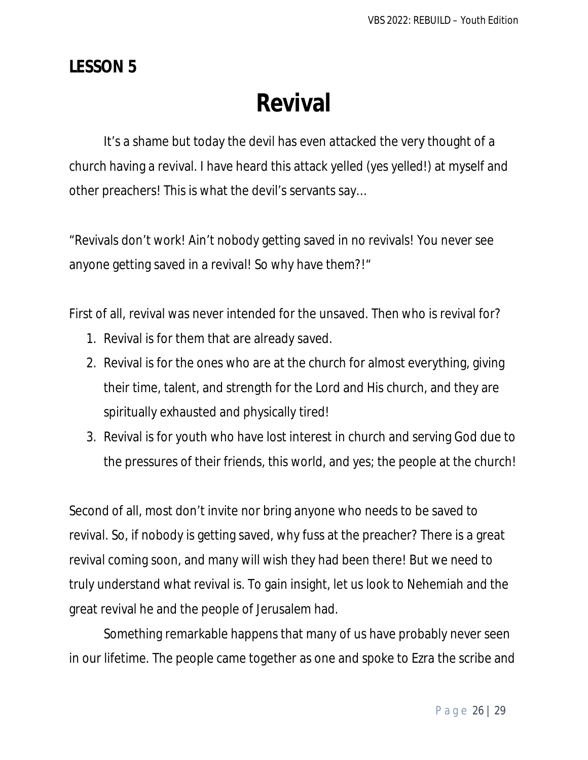## **LESSON 5**

# **Revival**

It's a shame but today the devil has even attacked the very thought of a church having a revival. I have heard this attack yelled *(yes yelled!)* at myself and other preachers! This is what the devil's servants say…

"Revivals don't work! Ain't nobody getting saved in no revivals! You never see anyone getting saved in a revival! So why have them?!"

First of all, revival was never intended for the unsaved. Then who is revival for?

- 1. Revival is for them that are already saved.
- 2. Revival is for the ones who are at the church for almost everything, giving their time, talent, and strength for the Lord and His church, and they are spiritually exhausted and physically tired!
- 3. Revival is for youth who have lost interest in church and serving God due to the pressures of their friends, this world, and yes; the people at the church!

Second of all, most don't invite nor bring anyone who needs to be saved to revival. So, if nobody is getting saved, why fuss at the preacher? There is a great revival coming soon, and many will wish they had been there! But we need to truly understand what revival is. To gain insight, let us look to Nehemiah and the great revival he and the people of Jerusalem had.

Something remarkable happens that many of us have probably never seen in our lifetime. The people came together as one and spoke to Ezra the scribe and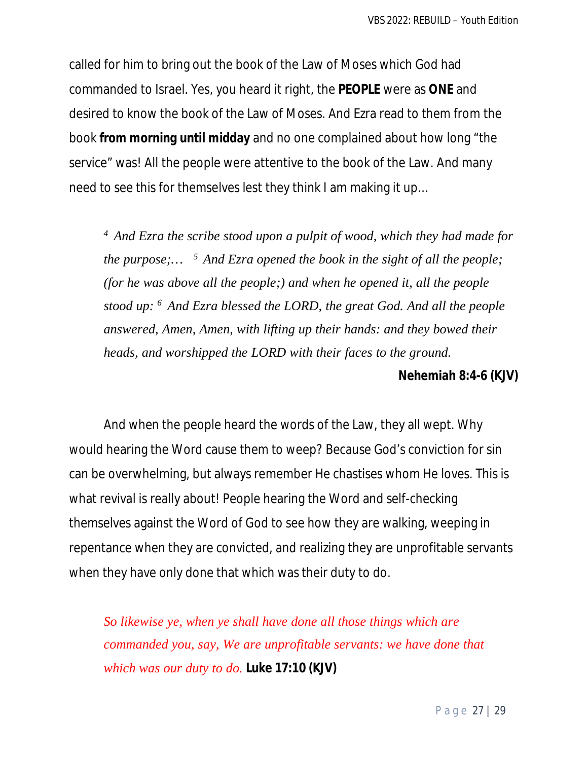called for him to bring out the book of the Law of Moses which God had commanded to Israel. Yes, you heard it right, the **PEOPLE** were as **ONE** and desired to know the book of the Law of Moses. And Ezra read to them from the book **from morning until midday** and no one complained about how long "the service" was! All the people were attentive to the book of the Law. And many need to see this for themselves lest they think I am making it up…

*<sup>4</sup>And Ezra the scribe stood upon a pulpit of wood, which they had made for the purpose;… <sup>5</sup>And Ezra opened the book in the sight of all the people; (for he was above all the people;) and when he opened it, all the people stood up: <sup>6</sup>And Ezra blessed the LORD, the great God. And all the people answered, Amen, Amen, with lifting up their hands: and they bowed their heads, and worshipped the LORD with their faces to the ground.*

#### **Nehemiah 8:4-6 (KJV)**

And when the people heard the words of the Law, they all wept. Why would hearing the Word cause them to weep? Because God's conviction for sin can be overwhelming, but always remember He chastises whom He loves. This is what revival is really about! People hearing the Word and self-checking themselves against the Word of God to see how they are walking, weeping in repentance when they are convicted, and realizing they are unprofitable servants when they have only done that which was their duty to do.

*So likewise ye, when ye shall have done all those things which are commanded you, say, We are unprofitable servants: we have done that which was our duty to do.* **Luke 17:10 (KJV)**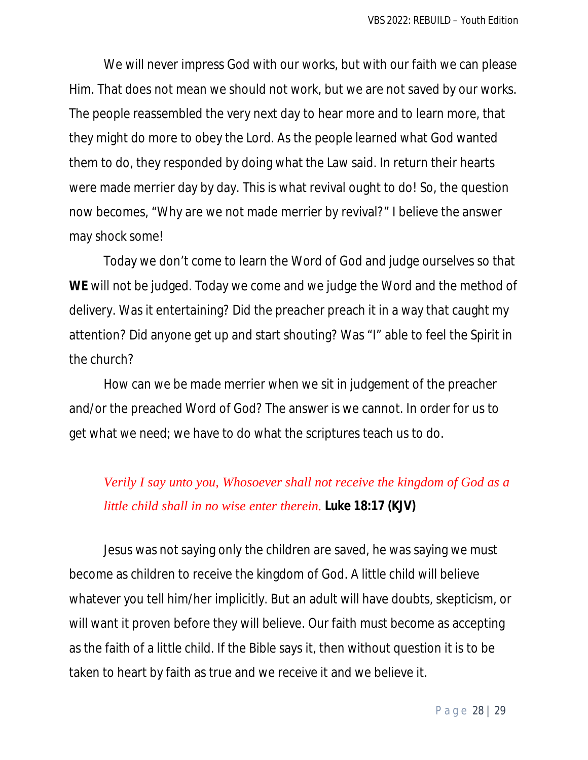We will never impress God with our works, but with our faith we can please Him. That does not mean we should not work, but we are not saved by our works. The people reassembled the very next day to hear more and to learn more, that they might do more to obey the Lord. As the people learned what God wanted them to do, they responded by doing what the Law said. In return their hearts were made merrier day by day. This is what revival ought to do! So, the question now becomes, "Why are we not made merrier by revival?" I believe the answer may shock some!

Today we don't come to learn the Word of God and judge ourselves so that **WE** will not be judged. Today we come and we judge the Word and the method of delivery. Was it entertaining? Did the preacher preach it in a way that caught my attention? Did anyone get up and start shouting? Was "I" able to feel the Spirit in the church?

How can we be made merrier when we sit in judgement of the preacher and/or the preached Word of God? The answer is we cannot. In order for us to get what we need; we have to do what the scriptures teach us to do.

## *Verily I say unto you, Whosoever shall not receive the kingdom of God as a little child shall in no wise enter therein.* **Luke 18:17 (KJV)**

Jesus was not saying only the children are saved, he was saying we must become as children to receive the kingdom of God. A little child will believe whatever you tell him/her implicitly. But an adult will have doubts, skepticism, or will want it proven before they will believe. Our faith must become as accepting as the faith of a little child. If the Bible says it, then without question it is to be taken to heart by faith as true and we receive it and we believe it.